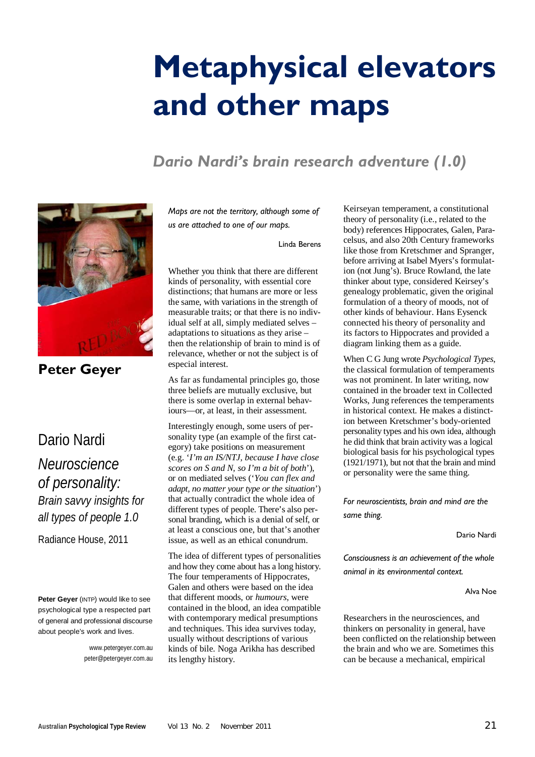# **Metaphysical elevators and other maps**

# *Dario Nardi's brain research adventure (1.0)*



**Peter Geyer**

# Dario Nardi

*Neuroscience of personality: Brain savvy insights for all types of people 1.0*

Radiance House, 2011

**Peter Geyer** (INTP) would like to see psychological type a respected part of general and professional discourse about people's work and lives.

> www.petergeyer.com.au peter@petergeyer.com.au

*Maps are not the territory, although some of us are attached to one of our maps.*

Linda Berens

Whether you think that there are different kinds of personality, with essential core distinctions; that humans are more or less the same, with variations in the strength of measurable traits; or that there is no individual self at all, simply mediated selves – adaptations to situations as they arise – then the relationship of brain to mind is of relevance, whether or not the subject is of especial interest.

As far as fundamental principles go, those three beliefs are mutually exclusive, but there is some overlap in external behaviours—or, at least, in their assessment.

Interestingly enough, some users of personality type (an example of the first category) take positions on measurement (e.g. '*I'm an IS/NTJ, because I have close scores on S and N, so I'm a bit of both*'), or on mediated selves ('*You can flex and adapt, no matter your type or the situation*') that actually contradict the whole idea of different types of people. There's also personal branding, which is a denial of self, or at least a conscious one, but that's another issue, as well as an ethical conundrum.

The idea of different types of personalities and how they come about has a long history. The four temperaments of Hippocrates, Galen and others were based on the idea that different moods, or *humours*, were contained in the blood, an idea compatible with contemporary medical presumptions and techniques. This idea survives today, usually without descriptions of various kinds of bile. Noga Arikha has described its lengthy history.

Keirseyan temperament, a constitutional theory of personality (i.e., related to the body) references Hippocrates, Galen, Paracelsus, and also 20th Century frameworks like those from Kretschmer and Spranger, before arriving at Isabel Myers's formulation (not Jung's). Bruce Rowland, the late thinker about type, considered Keirsey's genealogy problematic, given the original formulation of a theory of moods, not of other kinds of behaviour. Hans Eysenck connected his theory of personality and its factors to Hippocrates and provided a diagram linking them as a guide.

When C G Jung wrote *Psychological Types*, the classical formulation of temperaments was not prominent. In later writing, now contained in the broader text in Collected Works, Jung references the temperaments in historical context. He makes a distinction between Kretschmer's body-oriented personality types and his own idea, although he did think that brain activity was a logical biological basis for his psychological types (1921/1971), but not that the brain and mind or personality were the same thing.

*For neuroscientists, brain and mind are the same thing.*

Dario Nardi

*Consciousness is an achievement of the whole animal in its environmental context.*

Alva Noe

Researchers in the neurosciences, and thinkers on personality in general, have been conflicted on the relationship between the brain and who we are. Sometimes this can be because a mechanical, empirical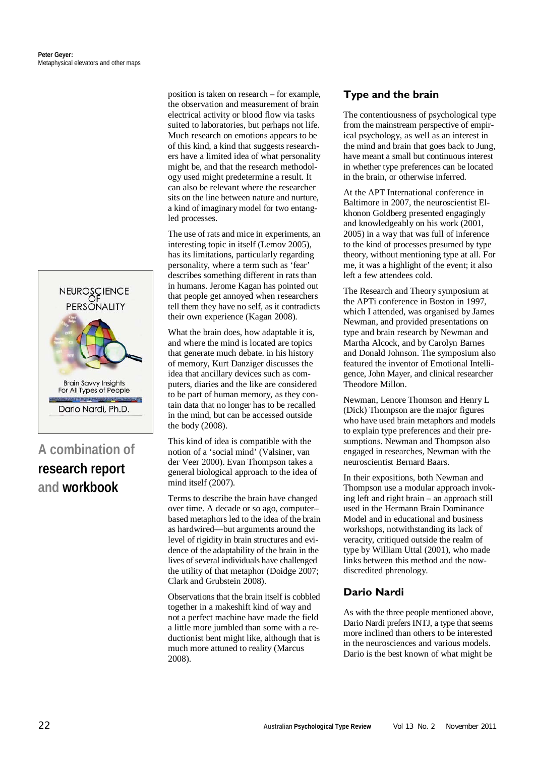

# **A combination of research report and workbook**

position is taken on research – for example, the observation and measurement of brain electrical activity or blood flow via tasks suited to laboratories, but perhaps not life. Much research on emotions appears to be of this kind, a kind that suggests researchers have a limited idea of what personality might be, and that the research methodology used might predetermine a result. It can also be relevant where the researcher sits on the line between nature and nurture, a kind of imaginary model for two entangled processes.

The use of rats and mice in experiments, an interesting topic in itself (Lemov 2005), has its limitations, particularly regarding personality, where a term such as 'fear' describes something different in rats than in humans. Jerome Kagan has pointed out that people get annoyed when researchers tell them they have no self, as it contradicts their own experience (Kagan 2008).

What the brain does, how adaptable it is, and where the mind is located are topics that generate much debate. in his history of memory, Kurt Danziger discusses the idea that ancillary devices such as computers, diaries and the like are considered to be part of human memory, as they contain data that no longer has to be recalled in the mind, but can be accessed outside the body (2008).

This kind of idea is compatible with the notion of a 'social mind' (Valsiner, van der Veer 2000). Evan Thompson takes a general biological approach to the idea of mind itself (2007).

Terms to describe the brain have changed over time. A decade or so ago, computer– based metaphors led to the idea of the brain as hardwired—but arguments around the level of rigidity in brain structures and evidence of the adaptability of the brain in the lives of several individuals have challenged the utility of that metaphor (Doidge 2007; Clark and Grubstein 2008).

Observations that the brain itself is cobbled together in a makeshift kind of way and not a perfect machine have made the field a little more jumbled than some with a reductionist bent might like, although that is much more attuned to reality (Marcus 2008).

## **Type and the brain**

The contentiousness of psychological type from the mainstream perspective of empirical psychology, as well as an interest in the mind and brain that goes back to Jung, have meant a small but continuous interest in whether type preferences can be located in the brain, or otherwise inferred.

At the APT International conference in Baltimore in 2007, the neuroscientist Elkhonon Goldberg presented engagingly and knowledgeably on his work (2001, 2005) in a way that was full of inference to the kind of processes presumed by type theory, without mentioning type at all. For me, it was a highlight of the event; it also left a few attendees cold.

The Research and Theory symposium at the APTi conference in Boston in 1997, which I attended, was organised by James Newman, and provided presentations on type and brain research by Newman and Martha Alcock, and by Carolyn Barnes and Donald Johnson. The symposium also featured the inventor of Emotional Intelligence, John Mayer, and clinical researcher Theodore Millon.

Newman, Lenore Thomson and Henry L (Dick) Thompson are the major figures who have used brain metaphors and models to explain type preferences and their presumptions. Newman and Thompson also engaged in researches, Newman with the neuroscientist Bernard Baars.

In their expositions, both Newman and Thompson use a modular approach invoking left and right brain – an approach still used in the Hermann Brain Dominance Model and in educational and business workshops, notwithstanding its lack of veracity, critiqued outside the realm of type by William Uttal (2001), who made links between this method and the nowdiscredited phrenology.

## **Dario Nardi**

As with the three people mentioned above, Dario Nardi prefers INTJ, a type that seems more inclined than others to be interested in the neurosciences and various models. Dario is the best known of what might be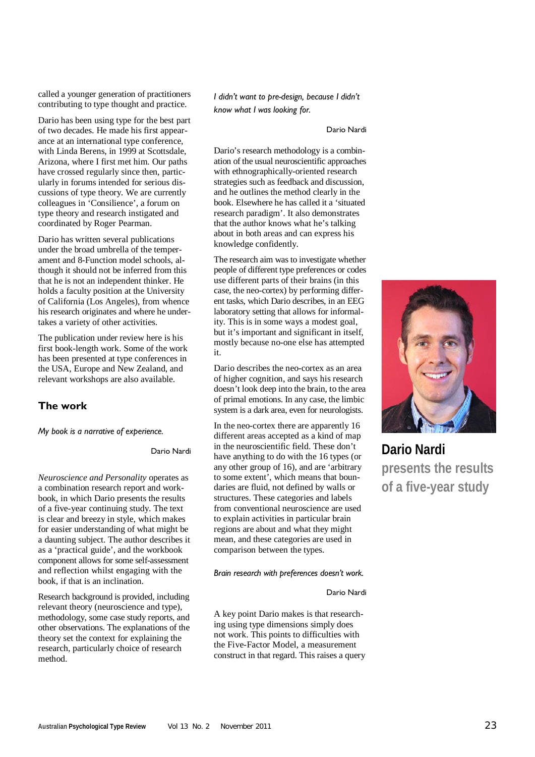called a younger generation of practitioners contributing to type thought and practice.

Dario has been using type for the best part of two decades. He made his first appearance at an international type conference, with Linda Berens, in 1999 at Scottsdale, Arizona, where I first met him. Our paths have crossed regularly since then, particularly in forums intended for serious discussions of type theory. We are currently colleagues in 'Consilience', a forum on type theory and research instigated and coordinated by Roger Pearman.

Dario has written several publications under the broad umbrella of the temperament and 8-Function model schools, although it should not be inferred from this that he is not an independent thinker. He holds a faculty position at the University of California (Los Angeles), from whence his research originates and where he undertakes a variety of other activities.

The publication under review here is his first book-length work. Some of the work has been presented at type conferences in the USA, Europe and New Zealand, and relevant workshops are also available.

### **The work**

*My book is a narrative of experience.*

Dario Nardi

*Neuroscience and Personality* operates as a combination research report and workbook, in which Dario presents the results of a five-year continuing study. The text is clear and breezy in style, which makes for easier understanding of what might be a daunting subject. The author describes it as a 'practical guide', and the workbook component allows for some self-assessment and reflection whilst engaging with the book, if that is an inclination.

Research background is provided, including relevant theory (neuroscience and type), methodology, some case study reports, and other observations. The explanations of the theory set the context for explaining the research, particularly choice of research method.

*I didn't want to pre-design, because I didn't know what I was looking for.*

#### Dario Nardi

Dario's research methodology is a combination of the usual neuroscientific approaches with ethnographically-oriented research strategies such as feedback and discussion, and he outlines the method clearly in the book. Elsewhere he has called it a 'situated research paradigm'. It also demonstrates that the author knows what he's talking about in both areas and can express his knowledge confidently.

The research aim was to investigate whether people of different type preferences or codes use different parts of their brains (in this case, the neo-cortex) by performing different tasks, which Dario describes, in an EEG laboratory setting that allows for informality. This is in some ways a modest goal, but it's important and significant in itself, mostly because no-one else has attempted it.

Dario describes the neo-cortex as an area of higher cognition, and says his research doesn't look deep into the brain, to the area of primal emotions. In any case, the limbic system is a dark area, even for neurologists.

In the neo-cortex there are apparently 16 different areas accepted as a kind of map in the neuroscientific field. These don't have anything to do with the 16 types (or any other group of 16), and are 'arbitrary to some extent', which means that boundaries are fluid, not defined by walls or structures. These categories and labels from conventional neuroscience are used to explain activities in particular brain regions are about and what they might mean, and these categories are used in comparison between the types.

#### *Brain research with preferences doesn't work.*

#### Dario Nardi

A key point Dario makes is that researching using type dimensions simply does not work. This points to difficulties with the Five-Factor Model, a measurement construct in that regard. This raises a query



**Dario Nardi presents the results of a five-year study**